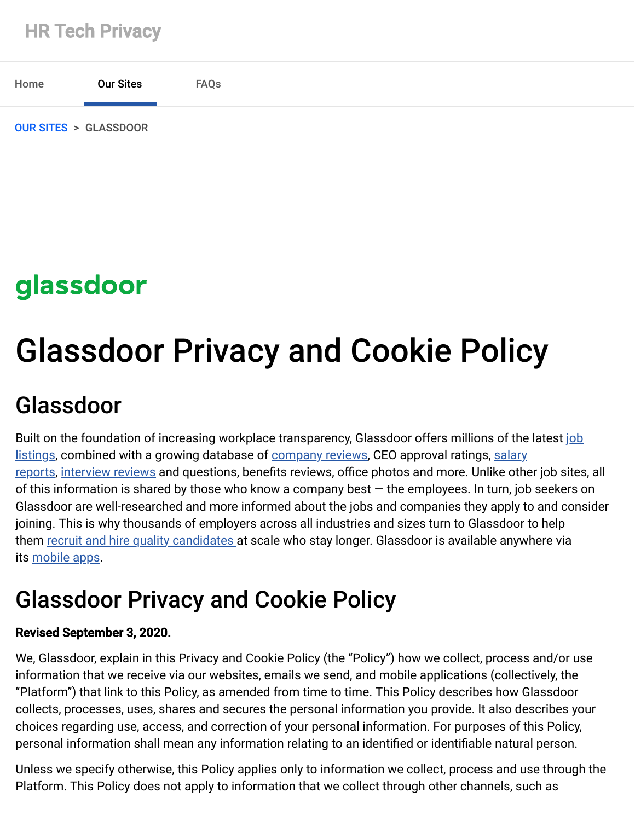

## glassdoor

# Glassdoor Privacy and Cookie Policy

## Glassdoor

[Built on the foundation of increasing workplace transparency, Glassdoor offers millions of the latest job](https://www.glassdoor.com/index.htm) [listings, combined with a growing database of c](https://www.glassdoor.com/Salaries/index.htm)[ompany reviews](https://www.glassdoor.com/Reviews/index.htm)[, CEO approval ratings, salary](https://www.glassdoor.com/Salaries/index.htm) reports, [interview reviews](https://www.glassdoor.com/Interview/index.htm) and questions, benefits reviews, office photos and more. Unlike other job sites, all of this information is shared by those who know a company best — the employees. In turn, job seekers on Glassdoor are well-researched and more informed about the jobs and companies they apply to and consider joining. This is why thousands of employers across all industries and sizes turn to Glassdoor to help them [recruit and hire quality candidates](https://www.glassdoor.com/employers/index.htm) at scale who stay longer. Glassdoor is available anywhere via its [mobile apps.](https://www.glassdoor.com/apps.htm)

## Glassdoor Privacy and Cookie Policy

#### Revised September 3, 2020.

We, Glassdoor, explain in this Privacy and Cookie Policy (the "Policy") how we collect, process and/or use information that we receive via our websites, emails we send, and mobile applications (collectively, the "Platform") that link to this Policy, as amended from time to time. This Policy describes how Glassdoor collects, processes, uses, shares and secures the personal information you provide. It also describes your choices regarding use, access, and correction of your personal information. For purposes of this Policy, personal information shall mean any information relating to an identified or identifiable natural person.

Unless we specify otherwise, this Policy applies only to information we collect, process and use through the Platform. This Policy does not apply to information that we collect through other channels, such as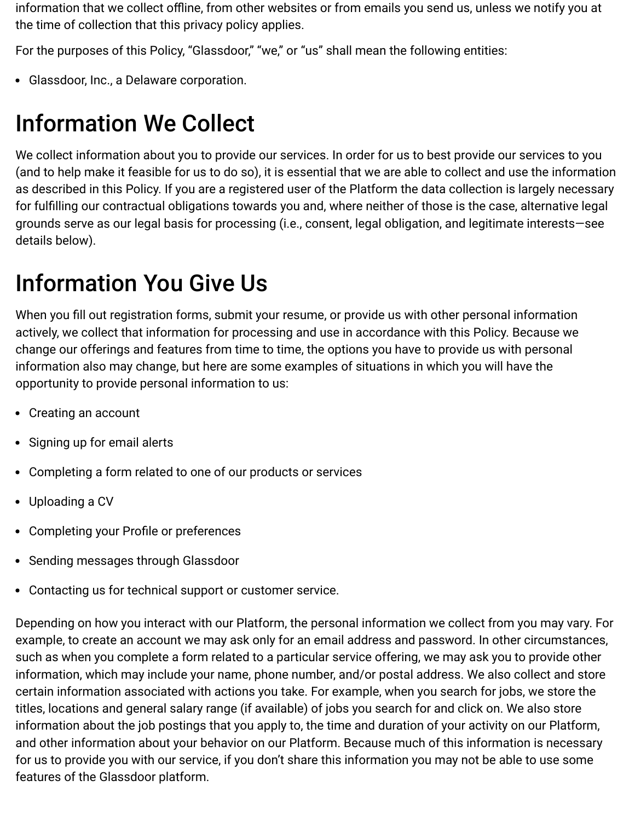information that we collect offline, from other websites or from emails you send us, unless we notify you at the time of collection that this privacy policy applies.

For the purposes of this Policy, "Glassdoor," "we," or "us" shall mean the following entities:

Glassdoor, Inc., a Delaware corporation.

## Information We Collect

We collect information about you to provide our services. In order for us to best provide our services to you (and to help make it feasible for us to do so), it is essential that we are able to collect and use the information as described in this Policy. If you are a registered user of the Platform the data collection is largely necessary for fulfilling our contractual obligations towards you and, where neither of those is the case, alternative legal grounds serve as our legal basis for processing (i.e., consent, legal obligation, and legitimate interests—see details below).

## Information You Give Us

When you fill out registration forms, submit your resume, or provide us with other personal information actively, we collect that information for processing and use in accordance with this Policy. Because we change our offerings and features from time to time, the options you have to provide us with personal information also may change, but here are some examples of situations in which you will have the opportunity to provide personal information to us:

- Creating an account
- Signing up for email alerts
- Completing a form related to one of our products or services
- Uploading a CV
- Completing your Profile or preferences
- Sending messages through Glassdoor
- Contacting us for technical support or customer service.

Depending on how you interact with our Platform, the personal information we collect from you may vary. For example, to create an account we may ask only for an email address and password. In other circumstances, such as when you complete a form related to a particular service offering, we may ask you to provide other information, which may include your name, phone number, and/or postal address. We also collect and store certain information associated with actions you take. For example, when you search for jobs, we store the titles, locations and general salary range (if available) of jobs you search for and click on. We also store information about the job postings that you apply to, the time and duration of your activity on our Platform, and other information about your behavior on our Platform. Because much of this information is necessary for us to provide you with our service, if you don't share this information you may not be able to use some features of the Glassdoor platform.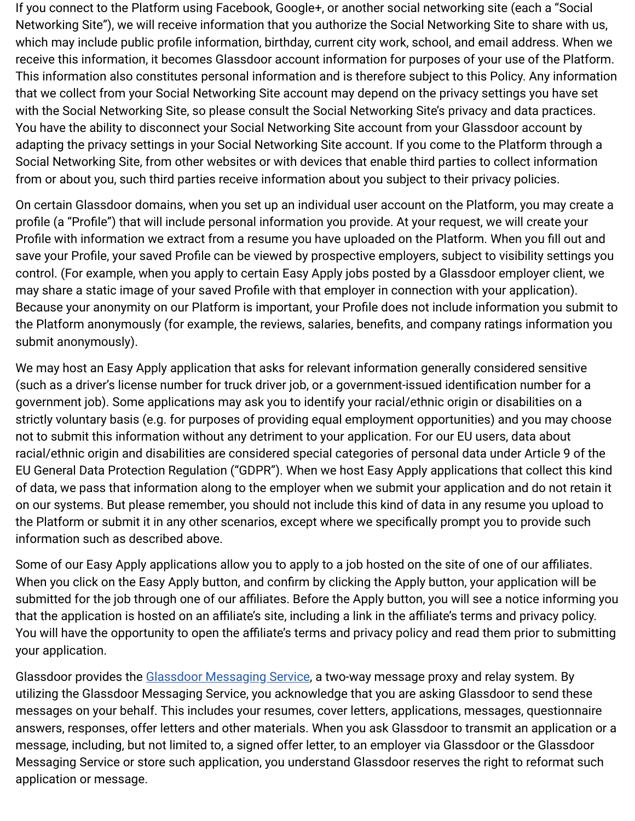If you connect to the Platform using Facebook, Google+, or another social networking site (each a "Social Networking Site"), we will receive information that you authorize the Social Networking Site to share with us, which may include public profile information, birthday, current city work, school, and email address. When we receive this information, it becomes Glassdoor account information for purposes of your use of the Platform. This information also constitutes personal information and is therefore subject to this Policy. Any information that we collect from your Social Networking Site account may depend on the privacy settings you have set with the Social Networking Site, so please consult the Social Networking Site's privacy and data practices. You have the ability to disconnect your Social Networking Site account from your Glassdoor account by adapting the privacy settings in your Social Networking Site account. If you come to the Platform through a Social Networking Site, from other websites or with devices that enable third parties to collect information from or about you, such third parties receive information about you subject to their privacy policies.

On certain Glassdoor domains, when you set up an individual user account on the Platform, you may create a profile (a "Profile") that will include personal information you provide. At your request, we will create your Profile with information we extract from a resume you have uploaded on the Platform. When you fill out and save your Profile, your saved Profile can be viewed by prospective employers, subject to visibility settings you control. (For example, when you apply to certain Easy Apply jobs posted by a Glassdoor employer client, we may share a static image of your saved Profile with that employer in connection with your application). Because your anonymity on our Platform is important, your Profile does not include information you submit to the Platform anonymously (for example, the reviews, salaries, benefits, and company ratings information you submit anonymously).

We may host an Easy Apply application that asks for relevant information generally considered sensitive (such as a driver's license number for truck driver job, or a government-issued identification number for a government job). Some applications may ask you to identify your racial/ethnic origin or disabilities on a strictly voluntary basis (e.g. for purposes of providing equal employment opportunities) and you may choose not to submit this information without any detriment to your application. For our EU users, data about racial/ethnic origin and disabilities are considered special categories of personal data under Article 9 of the EU General Data Protection Regulation ("GDPR"). When we host Easy Apply applications that collect this kind of data, we pass that information along to the employer when we submit your application and do not retain it on our systems. But please remember, you should not include this kind of data in any resume you upload to the Platform or submit it in any other scenarios, except where we specifically prompt you to provide such information such as described above.

Some of our Easy Apply applications allow you to apply to a job hosted on the site of one of our affiliates. When you click on the Easy Apply button, and confirm by clicking the Apply button, your application will be submitted for the job through one of our affiliates. Before the Apply button, you will see a notice informing you that the application is hosted on an affiliate's site, including a link in the affiliate's terms and privacy policy. You will have the opportunity to open the affiliate's terms and privacy policy and read them prior to submitting your application.

Glassdoor provides the [Glassdoor Messaging Service,](http://help.glassdoor.com/article/Glassdoor-Messaging-Service/en_US) a two-way message proxy and relay system. By utilizing the Glassdoor Messaging Service, you acknowledge that you are asking Glassdoor to send these messages on your behalf. This includes your resumes, cover letters, applications, messages, questionnaire answers, responses, offer letters and other materials. When you ask Glassdoor to transmit an application or a message, including, but not limited to, a signed offer letter, to an employer via Glassdoor or the Glassdoor Messaging Service or store such application, you understand Glassdoor reserves the right to reformat such application or message.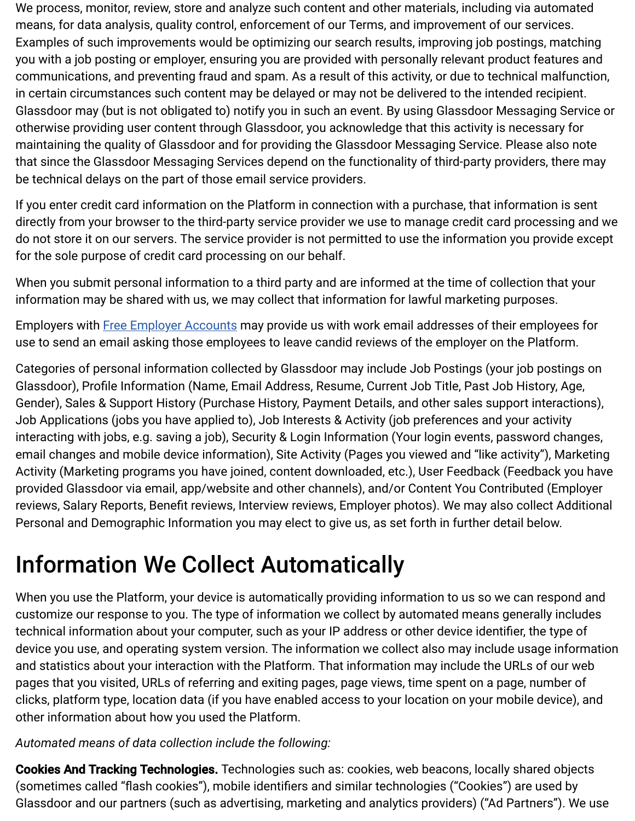We process, monitor, review, store and analyze such content and other materials, including via automated means, for data analysis, quality control, enforcement of our Terms, and improvement of our services. Examples of such improvements would be optimizing our search results, improving job postings, matching you with a job posting or employer, ensuring you are provided with personally relevant product features and communications, and preventing fraud and spam. As a result of this activity, or due to technical malfunction, in certain circumstances such content may be delayed or may not be delivered to the intended recipient. Glassdoor may (but is not obligated to) notify you in such an event. By using Glassdoor Messaging Service or otherwise providing user content through Glassdoor, you acknowledge that this activity is necessary for maintaining the quality of Glassdoor and for providing the Glassdoor Messaging Service. Please also note that since the Glassdoor Messaging Services depend on the functionality of third-party providers, there may be technical delays on the part of those email service providers.

If you enter credit card information on the Platform in connection with a purchase, that information is sent directly from your browser to the third-party service provider we use to manage credit card processing and we do not store it on our servers. The service provider is not permitted to use the information you provide except for the sole purpose of credit card processing on our behalf.

When you submit personal information to a third party and are informed at the time of collection that your information may be shared with us, we may collect that information for lawful marketing purposes.

Employers with **Free Employer Accounts** may provide us with work email addresses of their employees for use to send an email asking those employees to leave candid reviews of the employer on the Platform.

Categories of personal information collected by Glassdoor may include Job Postings (your job postings on Glassdoor), Profile Information (Name, Email Address, Resume, Current Job Title, Past Job History, Age, Gender), Sales & Support History (Purchase History, Payment Details, and other sales support interactions), Job Applications (jobs you have applied to), Job Interests & Activity (job preferences and your activity interacting with jobs, e.g. saving a job), Security & Login Information (Your login events, password changes, email changes and mobile device information), Site Activity (Pages you viewed and "like activity"), Marketing Activity (Marketing programs you have joined, content downloaded, etc.), User Feedback (Feedback you have provided Glassdoor via email, app/website and other channels), and/or Content You Contributed (Employer reviews, Salary Reports, Benefit reviews, Interview reviews, Employer photos). We may also collect Additional Personal and Demographic Information you may elect to give us, as set forth in further detail below.

## Information We Collect Automatically

When you use the Platform, your device is automatically providing information to us so we can respond and customize our response to you. The type of information we collect by automated means generally includes technical information about your computer, such as your IP address or other device identifier, the type of device you use, and operating system version. The information we collect also may include usage information and statistics about your interaction with the Platform. That information may include the URLs of our web pages that you visited, URLs of referring and exiting pages, page views, time spent on a page, number of clicks, platform type, location data (if you have enabled access to your location on your mobile device), and other information about how you used the Platform.

#### *Automated means of data collection include the following:*

Cookies And Tracking Technologies. Technologies such as: cookies, web beacons, locally shared objects (sometimes called "flash cookies"), mobile identifiers and similar technologies ("Cookies") are used by Glassdoor and our partners (such as advertising, marketing and analytics providers) ("Ad Partners"). We use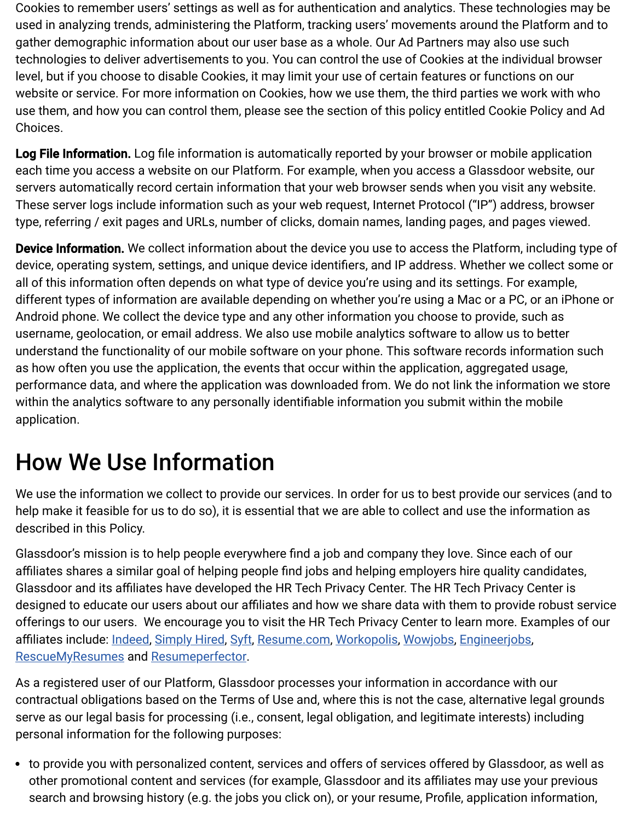Cookies to remember users' settings as well as for authentication and analytics. These technologies may be used in analyzing trends, administering the Platform, tracking users' movements around the Platform and to gather demographic information about our user base as a whole. Our Ad Partners may also use such technologies to deliver advertisements to you. You can control the use of Cookies at the individual browser level, but if you choose to disable Cookies, it may limit your use of certain features or functions on our website or service. For more information on Cookies, how we use them, the third parties we work with who use them, and how you can control them, please see the section of this policy entitled Cookie Policy and Ad Choices.

Log File Information. Log file information is automatically reported by your browser or mobile application each time you access a website on our Platform. For example, when you access a Glassdoor website, our servers automatically record certain information that your web browser sends when you visit any website. These server logs include information such as your web request, Internet Protocol ("IP") address, browser type, referring / exit pages and URLs, number of clicks, domain names, landing pages, and pages viewed.

Device Information. We collect information about the device you use to access the Platform, including type of device, operating system, settings, and unique device identifiers, and IP address. Whether we collect some or all of this information often depends on what type of device you're using and its settings. For example, different types of information are available depending on whether you're using a Mac or a PC, or an iPhone or Android phone. We collect the device type and any other information you choose to provide, such as username, geolocation, or email address. We also use mobile analytics software to allow us to better understand the functionality of our mobile software on your phone. This software records information such as how often you use the application, the events that occur within the application, aggregated usage, performance data, and where the application was downloaded from. We do not link the information we store within the analytics software to any personally identifiable information you submit within the mobile application.

## How We Use Information

We use the information we collect to provide our services. In order for us to best provide our services (and to help make it feasible for us to do so), it is essential that we are able to collect and use the information as described in this Policy.

Glassdoor's mission is to help people everywhere find a job and company they love. Since each of our affiliates shares a similar goal of helping people find jobs and helping employers hire quality candidates, Glassdoor and its affiliates have developed the HR Tech Privacy Center. The HR Tech Privacy Center is designed to educate our users about our affiliates and how we share data with them to provide robust service offerings to our users. We encourage you to visit the HR Tech Privacy Center to learn more. Examples of our affiliates include: [Indeed](https://indeed.com/), [Simply Hired,](https://www.simplyhired.com/) [Syft](https://syftapp.com/), [Resume.com,](https://www.resume.com/) [Workopolis,](https://www.workopolis.com/) [Wowjobs](https://www.wowjobs.ca/BrowseJobs.aspx), [Engineerjobs](https://www.engineerjobs.com/), [RescueMyResumes](https://rescuemyresumes.com/) and [Resumeperfector.](https://resumeperfector.com/)

As a registered user of our Platform, Glassdoor processes your information in accordance with our contractual obligations based on the Terms of Use and, where this is not the case, alternative legal grounds serve as our legal basis for processing (i.e., consent, legal obligation, and legitimate interests) including personal information for the following purposes:

to provide you with personalized content, services and offers of services offered by Glassdoor, as well as other promotional content and services (for example, Glassdoor and its affiliates may use your previous search and browsing history (e.g. the jobs you click on), or your resume, Profile, application information,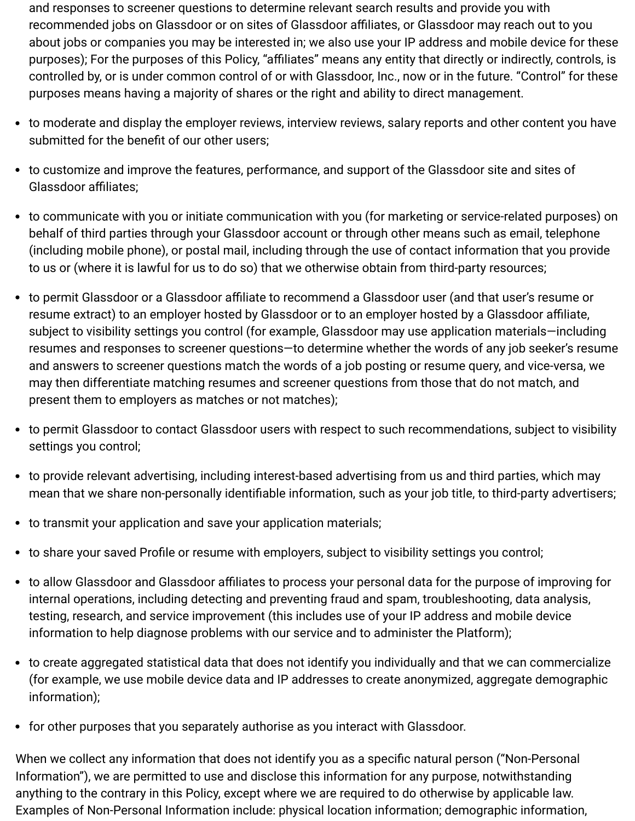and responses to screener questions to determine relevant search results and provide you with recommended jobs on Glassdoor or on sites of Glassdoor affiliates, or Glassdoor may reach out to you about jobs or companies you may be interested in; we also use your IP address and mobile device for these purposes); For the purposes of this Policy, "affiliates" means any entity that directly or indirectly, controls, is controlled by, or is under common control of or with Glassdoor, Inc., now or in the future. "Control" for these purposes means having a majority of shares or the right and ability to direct management.

- to moderate and display the employer reviews, interview reviews, salary reports and other content you have submitted for the benefit of our other users;
- to customize and improve the features, performance, and support of the Glassdoor site and sites of Glassdoor affiliates;
- to communicate with you or initiate communication with you (for marketing or service-related purposes) on behalf of third parties through your Glassdoor account or through other means such as email, telephone (including mobile phone), or postal mail, including through the use of contact information that you provide to us or (where it is lawful for us to do so) that we otherwise obtain from third-party resources;
- to permit Glassdoor or a Glassdoor affiliate to recommend a Glassdoor user (and that user's resume or resume extract) to an employer hosted by Glassdoor or to an employer hosted by a Glassdoor affiliate, subject to visibility settings you control (for example, Glassdoor may use application materials—including resumes and responses to screener questions—to determine whether the words of any job seeker's resume and answers to screener questions match the words of a job posting or resume query, and vice-versa, we may then differentiate matching resumes and screener questions from those that do not match, and present them to employers as matches or not matches);
- to permit Glassdoor to contact Glassdoor users with respect to such recommendations, subject to visibility settings you control;
- to provide relevant advertising, including interest-based advertising from us and third parties, which may mean that we share non-personally identifiable information, such as your job title, to third-party advertisers;
- to transmit your application and save your application materials;
- to share your saved Profile or resume with employers, subject to visibility settings you control;
- to allow Glassdoor and Glassdoor affiliates to process your personal data for the purpose of improving for internal operations, including detecting and preventing fraud and spam, troubleshooting, data analysis, testing, research, and service improvement (this includes use of your IP address and mobile device information to help diagnose problems with our service and to administer the Platform);
- to create aggregated statistical data that does not identify you individually and that we can commercialize (for example, we use mobile device data and IP addresses to create anonymized, aggregate demographic information);
- for other purposes that you separately authorise as you interact with Glassdoor.

When we collect any information that does not identify you as a specific natural person ("Non-Personal Information"), we are permitted to use and disclose this information for any purpose, notwithstanding anything to the contrary in this Policy, except where we are required to do otherwise by applicable law. Examples of Non-Personal Information include: physical location information; demographic information,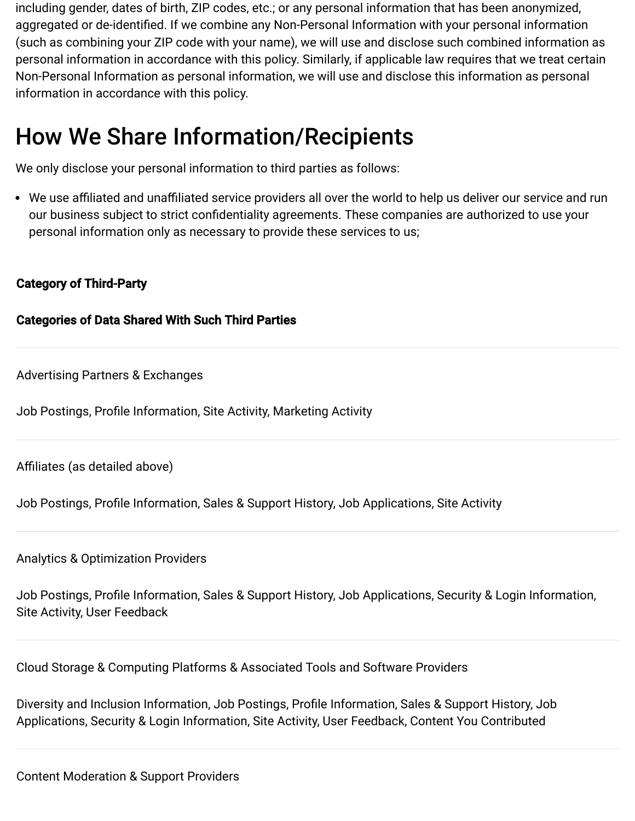including gender, dates of birth, ZIP codes, etc.; or any personal information that has been anonymized, aggregated or de-identified. If we combine any Non-Personal Information with your personal information (such as combining your ZIP code with your name), we will use and disclose such combined information as personal information in accordance with this policy. Similarly, if applicable law requires that we treat certain Non-Personal Information as personal information, we will use and disclose this information as personal information in accordance with this policy.

## How We Share Information/Recipients

We only disclose your personal information to third parties as follows:

We use affiliated and unaffiliated service providers all over the world to help us deliver our service and run our business subject to strict confidentiality agreements. These companies are authorized to use your personal information only as necessary to provide these services to us;

#### Category of Third-Party

#### Categories of Data Shared With Such Third Parties

Advertising Partners & Exchanges

Job Postings, Profile Information, Site Activity, Marketing Activity

Affiliates (as detailed above)

Job Postings, Profile Information, Sales & Support History, Job Applications, Site Activity

Analytics & Optimization Providers

Job Postings, Profile Information, Sales & Support History, Job Applications, Security & Login Information, Site Activity, User Feedback

Cloud Storage & Computing Platforms & Associated Tools and Software Providers

Diversity and Inclusion Information, Job Postings, Profile Information, Sales & Support History, Job Applications, Security & Login Information, Site Activity, User Feedback, Content You Contributed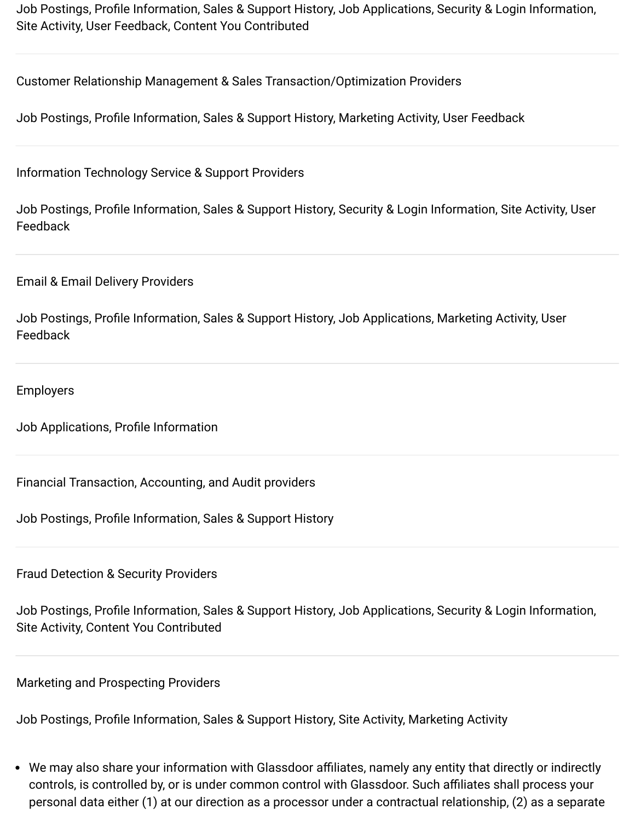Job Postings, Profile Information, Sales & Support History, Job Applications, Security & Login Information, Site Activity, User Feedback, Content You Contributed

Customer Relationship Management & Sales Transaction/Optimization Providers

Job Postings, Profile Information, Sales & Support History, Marketing Activity, User Feedback

Information Technology Service & Support Providers

Job Postings, Profile Information, Sales & Support History, Security & Login Information, Site Activity, User Feedback

Email & Email Delivery Providers

Job Postings, Profile Information, Sales & Support History, Job Applications, Marketing Activity, User Feedback

Employers

Job Applications, Profile Information

Financial Transaction, Accounting, and Audit providers

Job Postings, Profile Information, Sales & Support History

Fraud Detection & Security Providers

Job Postings, Profile Information, Sales & Support History, Job Applications, Security & Login Information, Site Activity, Content You Contributed

Marketing and Prospecting Providers

Job Postings, Profile Information, Sales & Support History, Site Activity, Marketing Activity

We may also share your information with Glassdoor affiliates, namely any entity that directly or indirectly controls, is controlled by, or is under common control with Glassdoor. Such affiliates shall process your personal data either (1) at our direction as a processor under a contractual relationship, (2) as a separate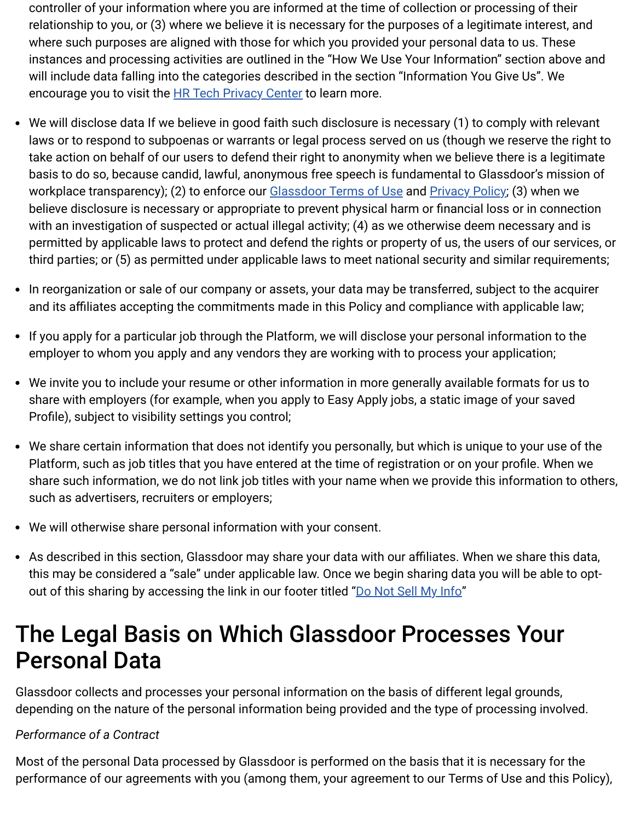controller of your information where you are informed at the time of collection or processing of their relationship to you, or (3) where we believe it is necessary for the purposes of a legitimate interest, and where such purposes are aligned with those for which you provided your personal data to us. These instances and processing activities are outlined in the "How We Use Your Information" section above and will include data falling into the categories described in the section "Information You Give Us". We encourage you to visit the **HR Tech Privacy Center** to learn more.

- We will disclose data If we believe in good faith such disclosure is necessary (1) to comply with relevant laws or to respond to subpoenas or warrants or legal process served on us (though we reserve the right to take action on behalf of our users to defend their right to anonymity when we believe there is a legitimate basis to do so, because candid, lawful, anonymous free speech is fundamental to Glassdoor's mission of workplace transparency); (2) to enforce our **Glassdoor Terms of Use and [Privacy Policy](https://www.glassdoor.com/about/privacy.htm#privacyPolicy)**; (3) when we believe disclosure is necessary or appropriate to prevent physical harm or financial loss or in connection with an investigation of suspected or actual illegal activity; (4) as we otherwise deem necessary and is permitted by applicable laws to protect and defend the rights or property of us, the users of our services, or third parties; or (5) as permitted under applicable laws to meet national security and similar requirements;
- In reorganization or sale of our company or assets, your data may be transferred, subject to the acquirer and its affiliates accepting the commitments made in this Policy and compliance with applicable law;
- If you apply for a particular job through the Platform, we will disclose your personal information to the employer to whom you apply and any vendors they are working with to process your application;
- We invite you to include your resume or other information in more generally available formats for us to share with employers (for example, when you apply to Easy Apply jobs, a static image of your saved Profile), subject to visibility settings you control;
- We share certain information that does not identify you personally, but which is unique to your use of the Platform, such as job titles that you have entered at the time of registration or on your profile. When we share such information, we do not link job titles with your name when we provide this information to others, such as advertisers, recruiters or employers;
- We will otherwise share personal information with your consent.
- As described in this section, Glassdoor may share your data with our affiliates. When we share this data, this may be considered a "sale" under applicable law. Once we begin sharing data you will be able to opt-out of this sharing by accessing the link in our footer titled "[Do Not Sell My Info"](https://www.glassdoor.com/about/doNotSell.htm)

## The Legal Basis on Which Glassdoor Processes Your Personal Data

Glassdoor collects and processes your personal information on the basis of different legal grounds, depending on the nature of the personal information being provided and the type of processing involved.

#### *Performance of a Contract*

Most of the personal Data processed by Glassdoor is performed on the basis that it is necessary for the performance of our agreements with you (among them, your agreement to our Terms of Use and this Policy),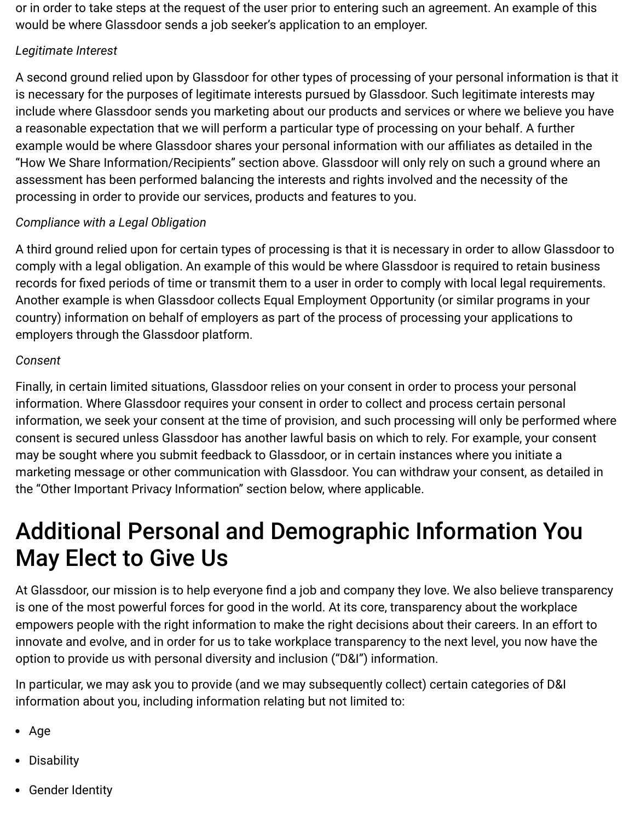or in order to take steps at the request of the user prior to entering such an agreement. An example of this would be where Glassdoor sends a job seeker's application to an employer.

#### *Legitimate Interest*

A second ground relied upon by Glassdoor for other types of processing of your personal information is that it is necessary for the purposes of legitimate interests pursued by Glassdoor. Such legitimate interests may include where Glassdoor sends you marketing about our products and services or where we believe you have a reasonable expectation that we will perform a particular type of processing on your behalf. A further example would be where Glassdoor shares your personal information with our affiliates as detailed in the "How We Share Information/Recipients" section above. Glassdoor will only rely on such a ground where an assessment has been performed balancing the interests and rights involved and the necessity of the processing in order to provide our services, products and features to you.

#### *Compliance with a Legal Obligation*

A third ground relied upon for certain types of processing is that it is necessary in order to allow Glassdoor to comply with a legal obligation. An example of this would be where Glassdoor is required to retain business records for fixed periods of time or transmit them to a user in order to comply with local legal requirements. Another example is when Glassdoor collects Equal Employment Opportunity (or similar programs in your country) information on behalf of employers as part of the process of processing your applications to employers through the Glassdoor platform.

#### *Consent*

Finally, in certain limited situations, Glassdoor relies on your consent in order to process your personal information. Where Glassdoor requires your consent in order to collect and process certain personal information, we seek your consent at the time of provision, and such processing will only be performed where consent is secured unless Glassdoor has another lawful basis on which to rely. For example, your consent may be sought where you submit feedback to Glassdoor, or in certain instances where you initiate a marketing message or other communication with Glassdoor. You can withdraw your consent, as detailed in the "Other Important Privacy Information" section below, where applicable.

## Additional Personal and Demographic Information You May Elect to Give Us

At Glassdoor, our mission is to help everyone find a job and company they love. We also believe transparency is one of the most powerful forces for good in the world. At its core, transparency about the workplace empowers people with the right information to make the right decisions about their careers. In an effort to innovate and evolve, and in order for us to take workplace transparency to the next level, you now have the option to provide us with personal diversity and inclusion ("D&I") information.

In particular, we may ask you to provide (and we may subsequently collect) certain categories of D&I information about you, including information relating but not limited to:

- Age
- Disability
- Gender Identity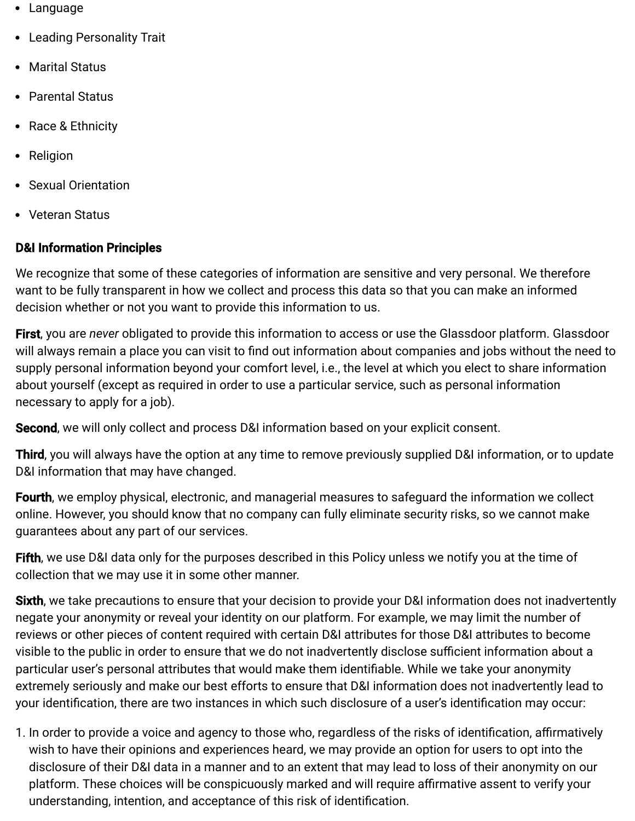- Language
- Leading Personality Trait
- Marital Status
- Parental Status
- Race & Ethnicity
- Religion
- Sexual Orientation
- Veteran Status

#### D&I Information Principles

We recognize that some of these categories of information are sensitive and very personal. We therefore want to be fully transparent in how we collect and process this data so that you can make an informed decision whether or not you want to provide this information to us.

First, you are *never* obligated to provide this information to access or use the Glassdoor platform. Glassdoor will always remain a place you can visit to find out information about companies and jobs without the need to supply personal information beyond your comfort level, i.e., the level at which you elect to share information about yourself (except as required in order to use a particular service, such as personal information necessary to apply for a job).

Second, we will only collect and process D&I information based on your explicit consent.

Third, you will always have the option at any time to remove previously supplied D&I information, or to update D&I information that may have changed.

Fourth, we employ physical, electronic, and managerial measures to safeguard the information we collect online. However, you should know that no company can fully eliminate security risks, so we cannot make guarantees about any part of our services.

Fifth, we use D&I data only for the purposes described in this Policy unless we notify you at the time of collection that we may use it in some other manner.

Sixth, we take precautions to ensure that your decision to provide your D&I information does not inadvertently negate your anonymity or reveal your identity on our platform. For example, we may limit the number of reviews or other pieces of content required with certain D&I attributes for those D&I attributes to become visible to the public in order to ensure that we do not inadvertently disclose sufficient information about a particular user's personal attributes that would make them identifiable. While we take your anonymity extremely seriously and make our best efforts to ensure that D&I information does not inadvertently lead to your identification, there are two instances in which such disclosure of a user's identification may occur:

1. In order to provide a voice and agency to those who, regardless of the risks of identification, affirmatively wish to have their opinions and experiences heard, we may provide an option for users to opt into the disclosure of their D&I data in a manner and to an extent that may lead to loss of their anonymity on our platform. These choices will be conspicuously marked and will require affirmative assent to verify your understanding, intention, and acceptance of this risk of identification.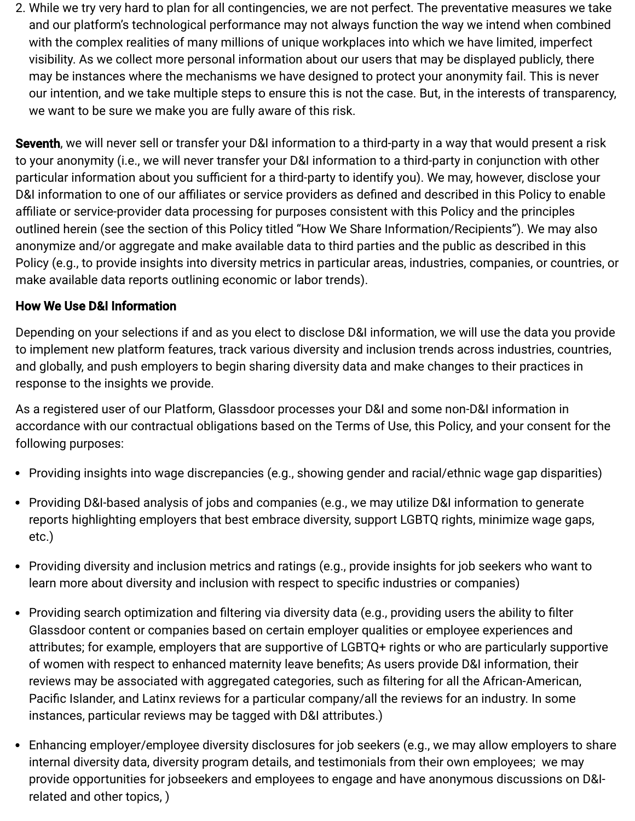2. While we try very hard to plan for all contingencies, we are not perfect. The preventative measures we take and our platform's technological performance may not always function the way we intend when combined with the complex realities of many millions of unique workplaces into which we have limited, imperfect visibility. As we collect more personal information about our users that may be displayed publicly, there may be instances where the mechanisms we have designed to protect your anonymity fail. This is never our intention, and we take multiple steps to ensure this is not the case. But, in the interests of transparency, we want to be sure we make you are fully aware of this risk.

Seventh, we will never sell or transfer your D&I information to a third-party in a way that would present a risk to your anonymity (i.e., we will never transfer your D&I information to a third-party in conjunction with other particular information about you sufficient for a third-party to identify you). We may, however, disclose your D&I information to one of our affiliates or service providers as defined and described in this Policy to enable affiliate or service-provider data processing for purposes consistent with this Policy and the principles outlined herein (see the section of this Policy titled "How We Share Information/Recipients"). We may also anonymize and/or aggregate and make available data to third parties and the public as described in this Policy (e.g., to provide insights into diversity metrics in particular areas, industries, companies, or countries, or make available data reports outlining economic or labor trends).

#### How We Use D&I Information

Depending on your selections if and as you elect to disclose D&I information, we will use the data you provide to implement new platform features, track various diversity and inclusion trends across industries, countries, and globally, and push employers to begin sharing diversity data and make changes to their practices in response to the insights we provide.

As a registered user of our Platform, Glassdoor processes your D&I and some non-D&I information in accordance with our contractual obligations based on the Terms of Use, this Policy, and your consent for the following purposes:

- Providing insights into wage discrepancies (e.g., showing gender and racial/ethnic wage gap disparities)
- Providing D&I-based analysis of jobs and companies (e.g., we may utilize D&I information to generate reports highlighting employers that best embrace diversity, support LGBTQ rights, minimize wage gaps, etc.)
- Providing diversity and inclusion metrics and ratings (e.g., provide insights for job seekers who want to learn more about diversity and inclusion with respect to specific industries or companies)
- Providing search optimization and filtering via diversity data (e.g., providing users the ability to filter Glassdoor content or companies based on certain employer qualities or employee experiences and attributes; for example, employers that are supportive of LGBTQ+ rights or who are particularly supportive of women with respect to enhanced maternity leave benefits; As users provide D&I information, their reviews may be associated with aggregated categories, such as filtering for all the African-American, Pacific Islander, and Latinx reviews for a particular company/all the reviews for an industry. In some instances, particular reviews may be tagged with D&I attributes.)
- Enhancing employer/employee diversity disclosures for job seekers (e.g., we may allow employers to share internal diversity data, diversity program details, and testimonials from their own employees; we may provide opportunities for jobseekers and employees to engage and have anonymous discussions on D&Irelated and other topics, )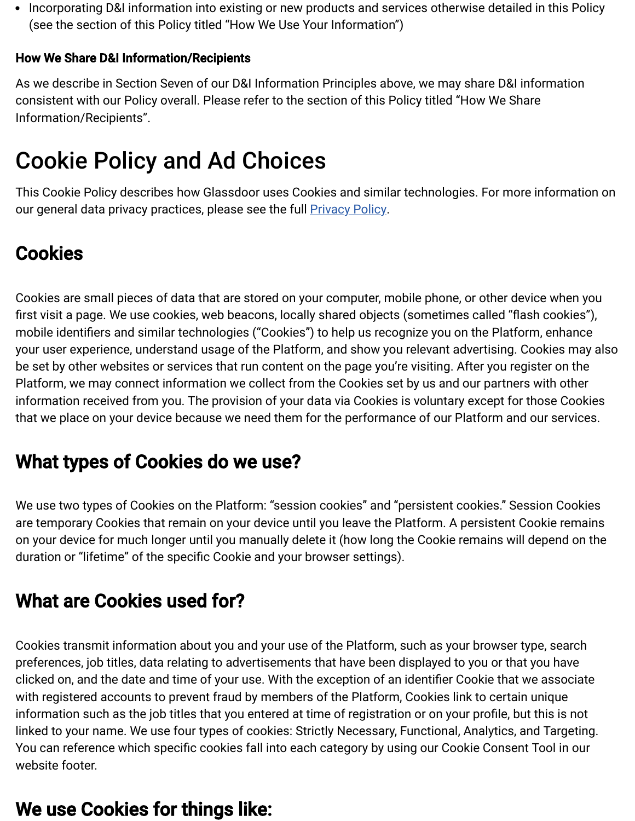• Incorporating D&I information into existing or new products and services otherwise detailed in this Policy (see the section of this Policy titled "How We Use Your Information")

#### How We Share D&I Information/Recipients

As we describe in Section Seven of our D&I Information Principles above, we may share D&I information consistent with our Policy overall. Please refer to the section of this Policy titled "How We Share Information/Recipients".

## Cookie Policy and Ad Choices

This Cookie Policy describes how Glassdoor uses Cookies and similar technologies. For more information on our general data privacy practices, please see the full **Privacy Policy**.

### **Cookies**

Cookies are small pieces of data that are stored on your computer, mobile phone, or other device when you first visit a page. We use cookies, web beacons, locally shared objects (sometimes called "flash cookies"), mobile identifiers and similar technologies ("Cookies") to help us recognize you on the Platform, enhance your user experience, understand usage of the Platform, and show you relevant advertising. Cookies may also be set by other websites or services that run content on the page you're visiting. After you register on the Platform, we may connect information we collect from the Cookies set by us and our partners with other information received from you. The provision of your data via Cookies is voluntary except for those Cookies that we place on your device because we need them for the performance of our Platform and our services.

### What types of Cookies do we use?

We use two types of Cookies on the Platform: "session cookies" and "persistent cookies." Session Cookies are temporary Cookies that remain on your device until you leave the Platform. A persistent Cookie remains on your device for much longer until you manually delete it (how long the Cookie remains will depend on the duration or "lifetime" of the specific Cookie and your browser settings).

### What are Cookies used for?

Cookies transmit information about you and your use of the Platform, such as your browser type, search preferences, job titles, data relating to advertisements that have been displayed to you or that you have clicked on, and the date and time of your use. With the exception of an identifier Cookie that we associate with registered accounts to prevent fraud by members of the Platform, Cookies link to certain unique information such as the job titles that you entered at time of registration or on your profile, but this is not linked to your name. We use four types of cookies: Strictly Necessary, Functional, Analytics, and Targeting. You can reference which specific cookies fall into each category by using our Cookie Consent Tool in our website footer.

#### We use Cookies for things like: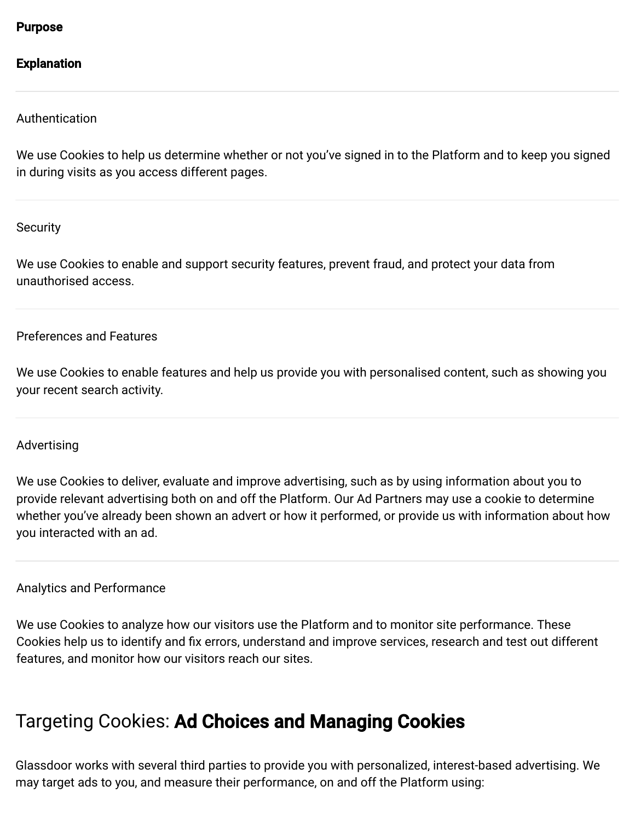Purpose

#### Explanation

Authentication

We use Cookies to help us determine whether or not you've signed in to the Platform and to keep you signed in during visits as you access different pages.

**Security** 

We use Cookies to enable and support security features, prevent fraud, and protect your data from unauthorised access.

#### Preferences and Features

We use Cookies to enable features and help us provide you with personalised content, such as showing you your recent search activity.

#### Advertising

We use Cookies to deliver, evaluate and improve advertising, such as by using information about you to provide relevant advertising both on and off the Platform. Our Ad Partners may use a cookie to determine whether you've already been shown an advert or how it performed, or provide us with information about how you interacted with an ad.

#### Analytics and Performance

We use Cookies to analyze how our visitors use the Platform and to monitor site performance. These Cookies help us to identify and fix errors, understand and improve services, research and test out different features, and monitor how our visitors reach our sites.

#### Targeting Cookies: Ad Choices and Managing Cookies

Glassdoor works with several third parties to provide you with personalized, interest-based advertising. We may target ads to you, and measure their performance, on and off the Platform using: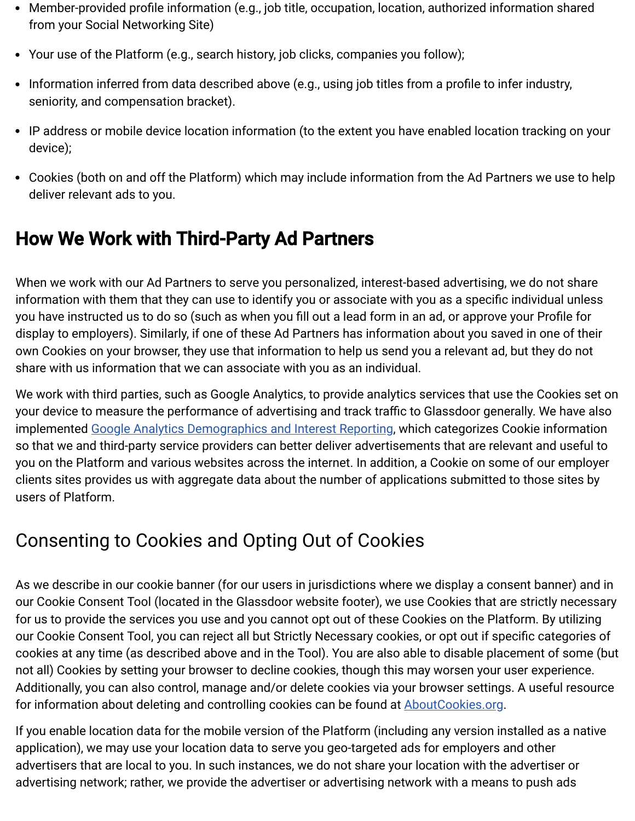- Member-provided profile information (e.g., job title, occupation, location, authorized information shared from your Social Networking Site)
- Your use of the Platform (e.g., search history, job clicks, companies you follow);
- Information inferred from data described above (e.g., using job titles from a profile to infer industry, seniority, and compensation bracket).
- IP address or mobile device location information (to the extent you have enabled location tracking on your device);
- Cookies (both on and off the Platform) which may include information from the Ad Partners we use to help deliver relevant ads to you.

### How We Work with Third-Party Ad Partners

When we work with our Ad Partners to serve you personalized, interest-based advertising, we do not share information with them that they can use to identify you or associate with you as a specific individual unless you have instructed us to do so (such as when you fill out a lead form in an ad, or approve your Profile for display to employers). Similarly, if one of these Ad Partners has information about you saved in one of their own Cookies on your browser, they use that information to help us send you a relevant ad, but they do not share with us information that we can associate with you as an individual.

We work with third parties, such as Google Analytics, to provide analytics services that use the Cookies set on your device to measure the performance of advertising and track traffic to Glassdoor generally. We have also implemented [Google Analytics Demographics and Interest Reporting,](https://support.google.com/analytics/answer/2799357?hl=en) which categorizes Cookie information so that we and third-party service providers can better deliver advertisements that are relevant and useful to you on the Platform and various websites across the internet. In addition, a Cookie on some of our employer clients sites provides us with aggregate data about the number of applications submitted to those sites by users of Platform.

### Consenting to Cookies and Opting Out of Cookies

As we describe in our cookie banner (for our users in jurisdictions where we display a consent banner) and in our Cookie Consent Tool (located in the Glassdoor website footer), we use Cookies that are strictly necessary for us to provide the services you use and you cannot opt out of these Cookies on the Platform. By utilizing our Cookie Consent Tool, you can reject all but Strictly Necessary cookies, or opt out if specific categories of cookies at any time (as described above and in the Tool). You are also able to disable placement of some (but not all) Cookies by setting your browser to decline cookies, though this may worsen your user experience. Additionally, you can also control, manage and/or delete cookies via your browser settings. A useful resource for information about deleting and controlling cookies can be found at [AboutCookies.org](http://www.aboutcookies.org/).

If you enable location data for the mobile version of the Platform (including any version installed as a native application), we may use your location data to serve you geo-targeted ads for employers and other advertisers that are local to you. In such instances, we do not share your location with the advertiser or advertising network; rather, we provide the advertiser or advertising network with a means to push ads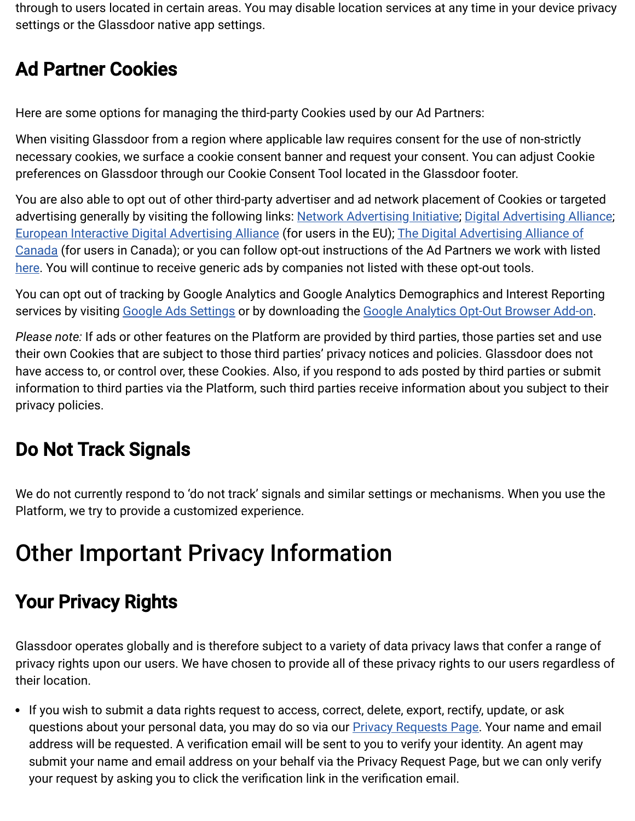through to users located in certain areas. You may disable location services at any time in your device privacy settings or the Glassdoor native app settings.

### Ad Partner Cookies

Here are some options for managing the third-party Cookies used by our Ad Partners:

When visiting Glassdoor from a region where applicable law requires consent for the use of non-strictly necessary cookies, we surface a cookie consent banner and request your consent. You can adjust Cookie preferences on Glassdoor through our Cookie Consent Tool located in the Glassdoor footer.

You are also able to opt out of other third-party advertiser and ad network placement of Cookies or targeted advertising generally by visiting the following links: [Network Advertising Initiative](http://www.networkadvertising.org/choices/); [Digital Advertising Alliance;](http://www.aboutads.info/choices/) [European Interactive Digital Advertising Alliance](http://www.youronlinechoices.eu/) (for users in the EU); The Digital Advertising Alliance of [Canada \(for users in Canada\); or you can follow opt-out instructions of the Ad Partners we work with list](http://youradchoices.ca/choices)ed [here](https://www.glassdoor.ie/about/privacy-third-party.htm). You will continue to receive generic ads by companies not listed with these opt-out tools.

You can opt out of tracking by Google Analytics and Google Analytics Demographics and Interest Reporting services by visiting [Google Ads Settings](https://www.google.com/settings/u/0/ads) or by downloading the [Google Analytics Opt-Out Browser Add-on](https://tools.google.com/dlpage/gaoptout).

*Please note:* If ads or other features on the Platform are provided by third parties, those parties set and use their own Cookies that are subject to those third parties' privacy notices and policies. Glassdoor does not have access to, or control over, these Cookies. Also, if you respond to ads posted by third parties or submit information to third parties via the Platform, such third parties receive information about you subject to their privacy policies.

### Do Not Track Signals

We do not currently respond to 'do not track' signals and similar settings or mechanisms. When you use the Platform, we try to provide a customized experience.

## Other Important Privacy Information

### Your Privacy Rights

Glassdoor operates globally and is therefore subject to a variety of data privacy laws that confer a range of privacy rights upon our users. We have chosen to provide all of these privacy rights to our users regardless of their location.

• If you wish to submit a data rights request to access, correct, delete, export, rectify, update, or ask questions about your personal data, you may do so via our **Privacy Requests Page**. Your name and email address will be requested. A verification email will be sent to you to verify your identity. An agent may submit your name and email address on your behalf via the Privacy Request Page, but we can only verify your request by asking you to click the verification link in the verification email.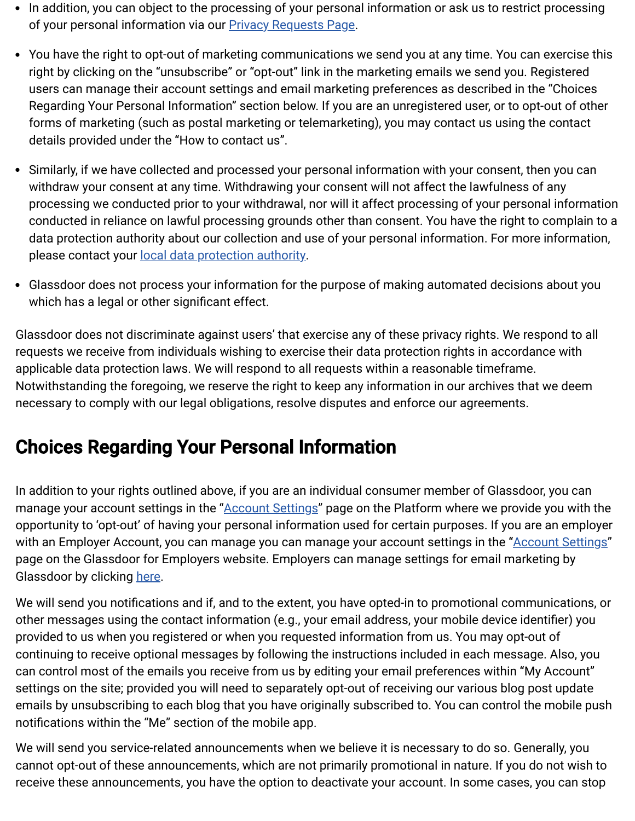- In addition, you can object to the processing of your personal information or ask us to restrict processing of your personal information via our **Privacy Requests Page**.
- You have the right to opt-out of marketing communications we send you at any time. You can exercise this right by clicking on the "unsubscribe" or "opt-out" link in the marketing emails we send you. Registered users can manage their account settings and email marketing preferences as described in the "Choices Regarding Your Personal Information" section below. If you are an unregistered user, or to opt-out of other forms of marketing (such as postal marketing or telemarketing), you may contact us using the contact details provided under the "How to contact us".
- Similarly, if we have collected and processed your personal information with your consent, then you can withdraw your consent at any time. Withdrawing your consent will not affect the lawfulness of any processing we conducted prior to your withdrawal, nor will it affect processing of your personal information conducted in reliance on lawful processing grounds other than consent. You have the right to complain to a data protection authority about our collection and use of your personal information. For more information, please contact your [local data protection authority.](https://ec.europa.eu/justice/article-29/structure/data-protection-authorities/index_en.htm)
- Glassdoor does not process your information for the purpose of making automated decisions about you which has a legal or other significant effect.

Glassdoor does not discriminate against users' that exercise any of these privacy rights. We respond to all requests we receive from individuals wishing to exercise their data protection rights in accordance with applicable data protection laws. We will respond to all requests within a reasonable timeframe. Notwithstanding the foregoing, we reserve the right to keep any information in our archives that we deem necessary to comply with our legal obligations, resolve disputes and enforce our agreements.

#### Choices Regarding Your Personal Information

In addition to your rights outlined above, if you are an individual consumer member of Glassdoor, you can manage your account settings in the "[Account Settings"](https://www.glassdoor.com/member/account/settings_input.htm) page on the Platform where we provide you with the opportunity to 'opt-out' of having your personal information used for certain purposes. If you are an employer with an Employer Account, you can manage you can manage your account settings in the "[Account Settings](https://www.glassdoor.com/member/account/settings_input.htm)" page on the Glassdoor for Employers website. Employers can manage settings for email marketing by Glassdoor by clicking [here](http://resources.glassdoor.com/UnsubscribePage.html).

We will send you notifications and if, and to the extent, you have opted-in to promotional communications, or other messages using the contact information (e.g., your email address, your mobile device identifier) you provided to us when you registered or when you requested information from us. You may opt-out of continuing to receive optional messages by following the instructions included in each message. Also, you can control most of the emails you receive from us by editing your email preferences within "My Account" settings on the site; provided you will need to separately opt-out of receiving our various blog post update emails by unsubscribing to each blog that you have originally subscribed to. You can control the mobile push notifications within the "Me" section of the mobile app.

We will send you service-related announcements when we believe it is necessary to do so. Generally, you cannot opt-out of these announcements, which are not primarily promotional in nature. If you do not wish to receive these announcements, you have the option to deactivate your account. In some cases, you can stop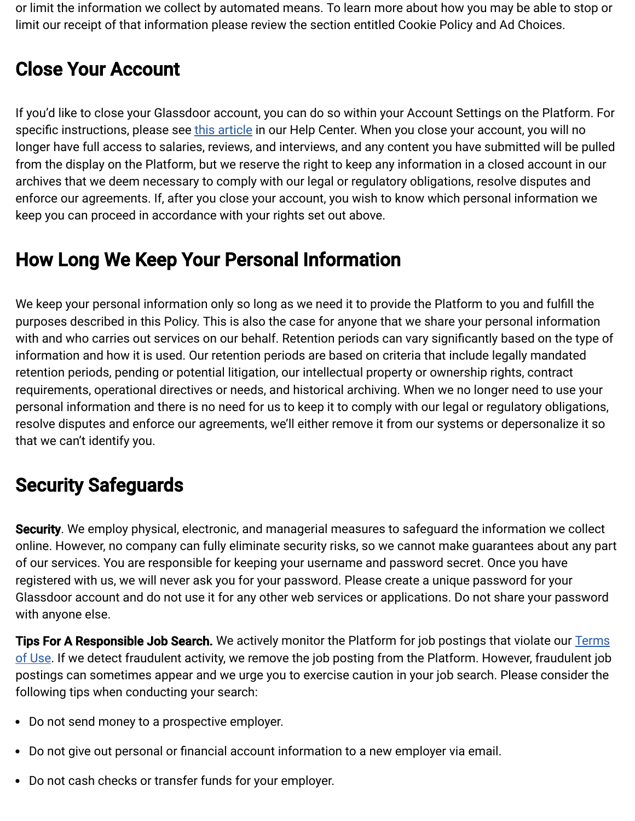or limit the information we collect by automated means. To learn more about how you may be able to stop or limit our receipt of that information please review the section entitled Cookie Policy and Ad Choices.

### Close Your Account

If you'd like to close your Glassdoor account, you can do so within your Account Settings on the Platform. For specific instructions, please see [this article](https://help.glassdoor.com/s/article/Close-my-Glassdoor-account?language=en_US) in our Help Center. When you close your account, you will no longer have full access to salaries, reviews, and interviews, and any content you have submitted will be pulled from the display on the Platform, but we reserve the right to keep any information in a closed account in our archives that we deem necessary to comply with our legal or regulatory obligations, resolve disputes and enforce our agreements. If, after you close your account, you wish to know which personal information we keep you can proceed in accordance with your rights set out above.

### How Long We Keep Your Personal Information

We keep your personal information only so long as we need it to provide the Platform to you and fulfill the purposes described in this Policy. This is also the case for anyone that we share your personal information with and who carries out services on our behalf. Retention periods can vary significantly based on the type of information and how it is used. Our retention periods are based on criteria that include legally mandated retention periods, pending or potential litigation, our intellectual property or ownership rights, contract requirements, operational directives or needs, and historical archiving. When we no longer need to use your personal information and there is no need for us to keep it to comply with our legal or regulatory obligations, resolve disputes and enforce our agreements, we'll either remove it from our systems or depersonalize it so that we can't identify you.

### Security Safeguards

Security. We employ physical, electronic, and managerial measures to safeguard the information we collect online. However, no company can fully eliminate security risks, so we cannot make guarantees about any part of our services. You are responsible for keeping your username and password secret. Once you have registered with us, we will never ask you for your password. Please create a unique password for your Glassdoor account and do not use it for any other web services or applications. Do not share your password with anyone else.

**Tips For A Responsible Job Search.** We actively monitor the Platform for job postings that violate our **Terms** [of Use. If we detect fraudulent activity, we remove the job posting from the Platform. However, fraudulent job](https://www.glassdoor.com/about/terms.htm) postings can sometimes appear and we urge you to exercise caution in your job search. Please consider the following tips when conducting your search:

- Do not send money to a prospective employer.
- Do not give out personal or financial account information to a new employer via email.
- Do not cash checks or transfer funds for your employer.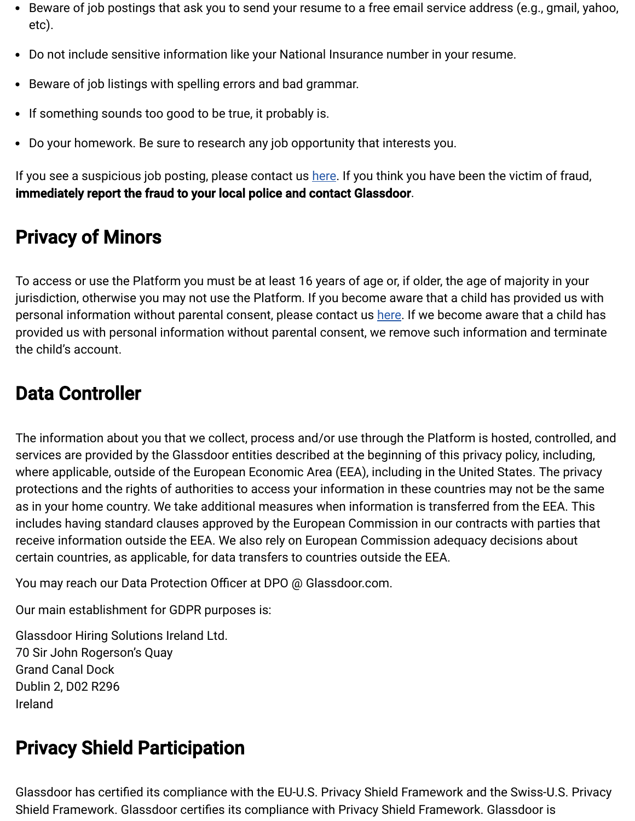- Beware of job postings that ask you to send your resume to a free email service address (e.g., gmail, yahoo, etc).
- Do not include sensitive information like your National Insurance number in your resume.
- Beware of job listings with spelling errors and bad grammar.
- If something sounds too good to be true, it probably is.
- Do your homework. Be sure to research any job opportunity that interests you.

If you see a suspicious job posting, please contact us [here.](https://help.glassdoor.com/s/ContactUs?language=en_US) If you think you have been the victim of fraud, immediately report the fraud to your local police and contact Glassdoor.

### Privacy of Minors

To access or use the Platform you must be at least 16 years of age or, if older, the age of majority in your jurisdiction, otherwise you may not use the Platform. If you become aware that a child has provided us with personal information without parental consent, please contact us [here](https://help.glassdoor.com/s/ContactUs?language=en_US). If we become aware that a child has provided us with personal information without parental consent, we remove such information and terminate the child's account.

### Data Controller

The information about you that we collect, process and/or use through the Platform is hosted, controlled, and services are provided by the Glassdoor entities described at the beginning of this privacy policy, including, where applicable, outside of the European Economic Area (EEA), including in the United States. The privacy protections and the rights of authorities to access your information in these countries may not be the same as in your home country. We take additional measures when information is transferred from the EEA. This includes having standard clauses approved by the European Commission in our contracts with parties that receive information outside the EEA. We also rely on European Commission adequacy decisions about certain countries, as applicable, for data transfers to countries outside the EEA.

You may reach our Data Protection Officer at DPO @ Glassdoor.com.

Our main establishment for GDPR purposes is:

Glassdoor Hiring Solutions Ireland Ltd. 70 Sir John Rogerson's Quay Grand Canal Dock Dublin 2, D02 R296 Ireland

### Privacy Shield Participation

Glassdoor has certified its compliance with the EU-U.S. Privacy Shield Framework and the Swiss-U.S. Privacy Shield Framework. Glassdoor certifies its compliance with Privacy Shield Framework. Glassdoor is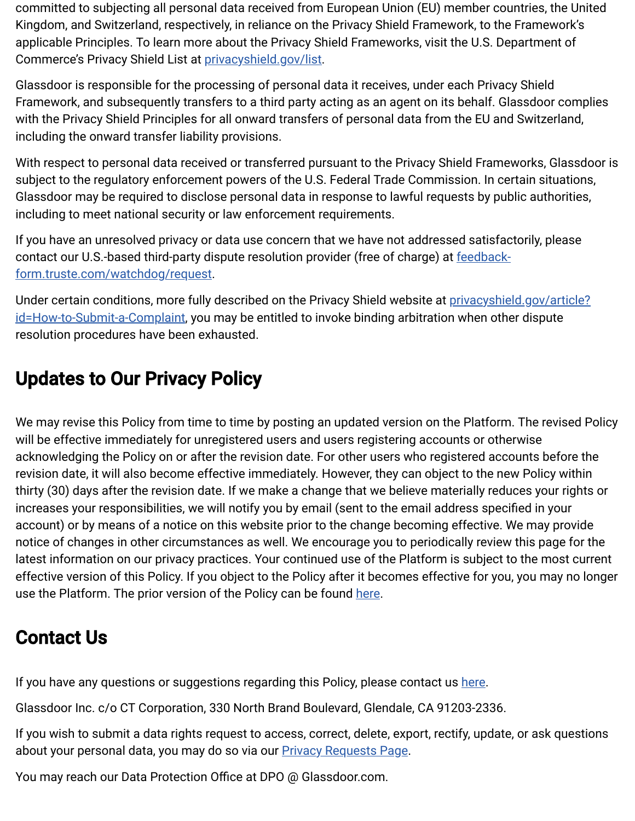committed to subjecting all personal data received from European Union (EU) member countries, the United Kingdom, and Switzerland, respectively, in reliance on the Privacy Shield Framework, to the Framework's applicable Principles. To learn more about the Privacy Shield Frameworks, visit the U.S. Department of Commerce's Privacy Shield List at [privacyshield.gov/list](https://www.privacyshield.gov/list).

Glassdoor is responsible for the processing of personal data it receives, under each Privacy Shield Framework, and subsequently transfers to a third party acting as an agent on its behalf. Glassdoor complies with the Privacy Shield Principles for all onward transfers of personal data from the EU and Switzerland, including the onward transfer liability provisions.

With respect to personal data received or transferred pursuant to the Privacy Shield Frameworks, Glassdoor is subject to the regulatory enforcement powers of the U.S. Federal Trade Commission. In certain situations, Glassdoor may be required to disclose personal data in response to lawful requests by public authorities, including to meet national security or law enforcement requirements.

If you have an unresolved privacy or data use concern that we have not addressed satisfactorily, please contact our U.S.-based third-party dispute resolution provider (free of charge) at **feedback**form.truste.com/watchdog/request.

[Under certain conditions, more fully described on the Privacy Shield website at privacyshield.gov/article?](https://www.privacyshield.gov/article?id=How-to-Submit-a-Complaint) id=How-to-Submit-a-Complaint, you may be entitled to invoke binding arbitration when other dispute resolution procedures have been exhausted.

### Updates to Our Privacy Policy

We may revise this Policy from time to time by posting an updated version on the Platform. The revised Policy will be effective immediately for unregistered users and users registering accounts or otherwise acknowledging the Policy on or after the revision date. For other users who registered accounts before the revision date, it will also become effective immediately. However, they can object to the new Policy within thirty (30) days after the revision date. If we make a change that we believe materially reduces your rights or increases your responsibilities, we will notify you by email (sent to the email address specified in your account) or by means of a notice on this website prior to the change becoming effective. We may provide notice of changes in other circumstances as well. We encourage you to periodically review this page for the latest information on our privacy practices. Your continued use of the Platform is subject to the most current effective version of this Policy. If you object to the Policy after it becomes effective for you, you may no longer use the Platform. The prior version of the Policy can be found [here.](https://media.glassdoor.com/legal/privacy-policy/2020-09-02-Privacy-Policy-EN.pdf)

### Contact Us

If you have any questions or suggestions regarding this Policy, please contact us [here](https://help.glassdoor.com/s/ContactUs?language=en_US).

Glassdoor Inc. c/o CT Corporation, 330 North Brand Boulevard, Glendale, CA 91203-2336.

If you wish to submit a data rights request to access, correct, delete, export, rectify, update, or ask questions about your personal data, you may do so via our **Privacy Requests Page**.

You may reach our Data Protection Office at DPO @ Glassdoor.com.